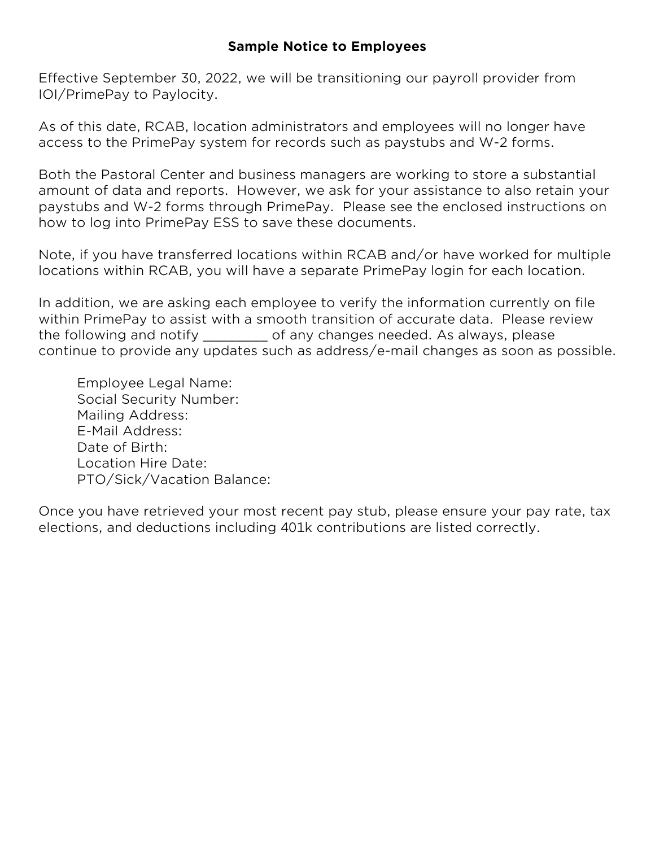## **Sample Notice to Employees**

Effective September 30, 2022, we will be transitioning our payroll provider from IOI/PrimePay to Paylocity.

As of this date, RCAB, location administrators and employees will no longer have access to the PrimePay system for records such as paystubs and W-2 forms.

Both the Pastoral Center and business managers are working to store a substantial amount of data and reports. However, we ask for your assistance to also retain your paystubs and W-2 forms through PrimePay. Please see the enclosed instructions on how to log into PrimePay ESS to save these documents.

Note, if you have transferred locations within RCAB and/or have worked for multiple locations within RCAB, you will have a separate PrimePay login for each location.

In addition, we are asking each employee to verify the information currently on file within PrimePay to assist with a smooth transition of accurate data. Please review the following and notify \_\_\_\_\_\_\_\_ of any changes needed. As always, please continue to provide any updates such as address/e-mail changes as soon as possible.

Employee Legal Name: Social Security Number: Mailing Address: E-Mail Address: Date of Birth: Location Hire Date: PTO/Sick/Vacation Balance:

Once you have retrieved your most recent pay stub, please ensure your pay rate, tax elections, and deductions including 401k contributions are listed correctly.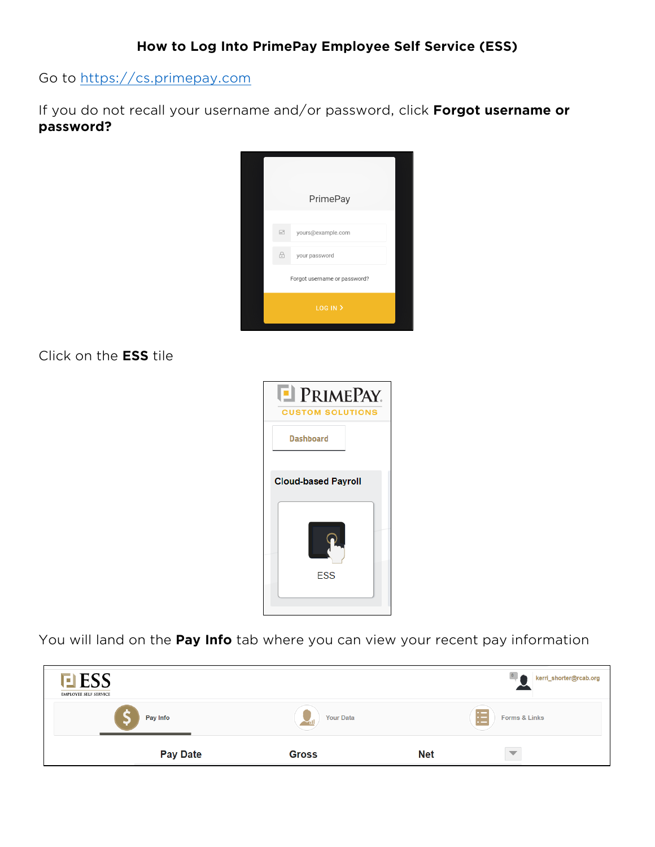Go to [https://cs.primepay.com](https://cs.primepay.com/)

If you do not recall your username and/or password, click **Forgot username or password?**



Click on the **ESS** tile



You will land on the **Pay Info** tab where you can view your recent pay information

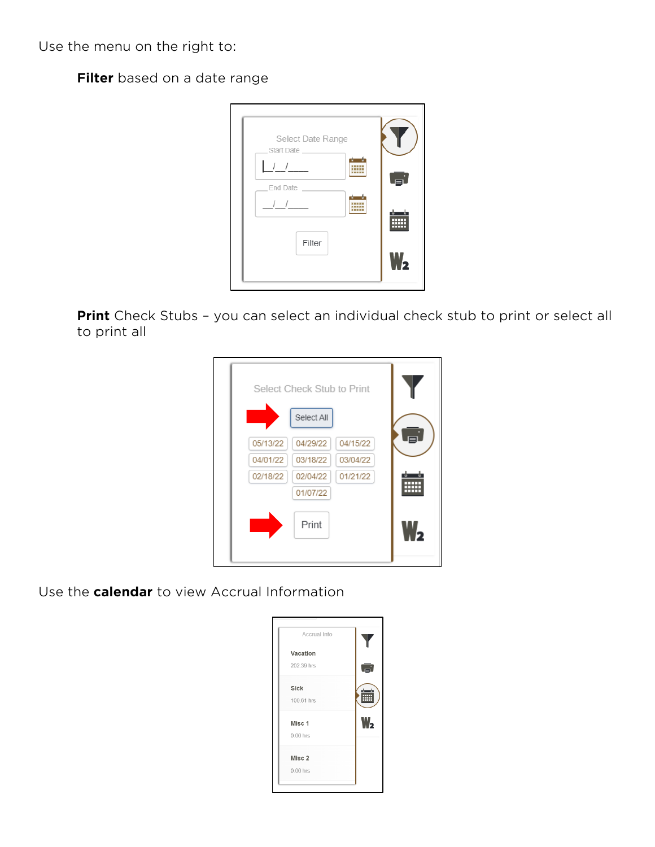Use the menu on the right to:

**Filter** based on a date range



**Print** Check Stubs – you can select an individual check stub to print or select all to print all

|          | Select Check Stub to Print |          |  |
|----------|----------------------------|----------|--|
|          | Select All                 |          |  |
| 05/13/22 | 04/29/22                   | 04/15/22 |  |
| 04/01/22 | 03/18/22                   | 03/04/22 |  |
| 02/18/22 | 02/04/22                   | 01/21/22 |  |
|          | 01/07/22                   |          |  |
|          | Print                      |          |  |

Use the **calendar** to view Accrual Information